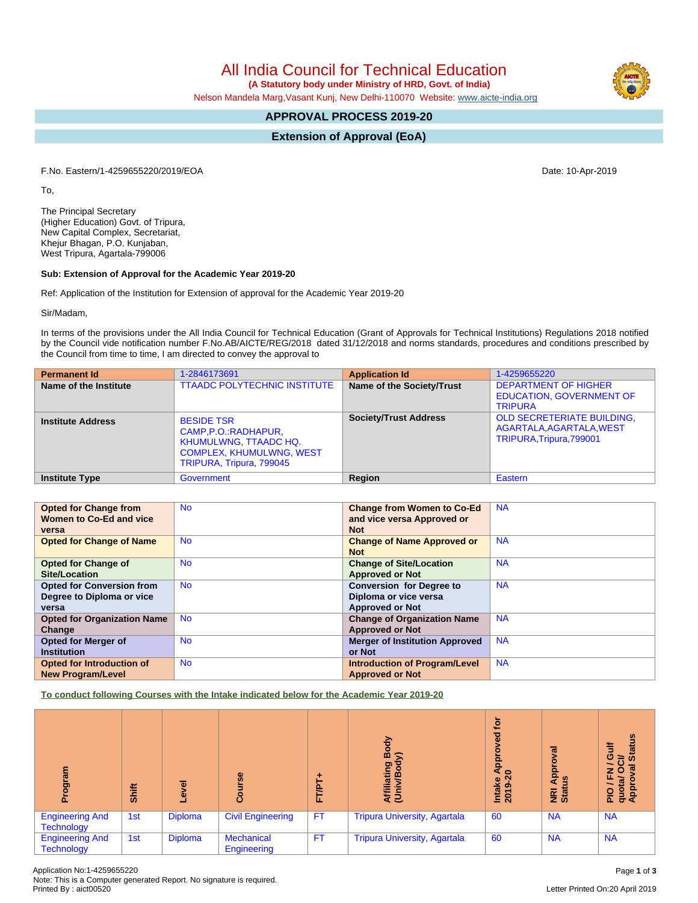All India Council for Technical Education

 **(A Statutory body under Ministry of HRD, Govt. of India)**

Nelson Mandela Marg,Vasant Kunj, New Delhi-110070 Website: [www.aicte-india.org](http://www.aicte-india.org)

# **APPROVAL PROCESS 2019-20**

**Extension of Approval (EoA)**

F.No. Eastern/1-4259655220/2019/EOA Date: 10-Apr-2019

To,

The Principal Secretary (Higher Education) Govt. of Tripura, New Capital Complex, Secretariat, Khejur Bhagan, P.O. Kunjaban, West Tripura, Agartala-799006

#### **Sub: Extension of Approval for the Academic Year 2019-20**

Ref: Application of the Institution for Extension of approval for the Academic Year 2019-20

Sir/Madam,

In terms of the provisions under the All India Council for Technical Education (Grant of Approvals for Technical Institutions) Regulations 2018 notified by the Council vide notification number F.No.AB/AICTE/REG/2018 dated 31/12/2018 and norms standards, procedures and conditions prescribed by the Council from time to time, I am directed to convey the approval to

| <b>Permanent Id</b>      | 1-2846173691                                                                                                                              | <b>Application Id</b>        | 1-4259655220                                                                              |
|--------------------------|-------------------------------------------------------------------------------------------------------------------------------------------|------------------------------|-------------------------------------------------------------------------------------------|
| Name of the Institute    | <b>TTAADC POLYTECHNIC INSTITUTE</b>                                                                                                       | Name of the Society/Trust    | <b>DEPARTMENT OF HIGHER</b><br><b>EDUCATION, GOVERNMENT OF</b><br><b>TRIPURA</b>          |
| <b>Institute Address</b> | <b>BESIDE TSR</b><br>CAMP, P.O.: RADHAPUR,<br><b>KHUMULWNG, TTAADC HQ.</b><br><b>COMPLEX, KHUMULWNG, WEST</b><br>TRIPURA, Tripura, 799045 | <b>Society/Trust Address</b> | <b>OLD SECRETERIATE BUILDING,</b><br>AGARTALA, AGARTALA, WEST<br>TRIPURA, Tripura, 799001 |
| <b>Institute Type</b>    | Government                                                                                                                                | Region                       | Eastern                                                                                   |

| <b>Opted for Change from</b>       | <b>No</b> | <b>Change from Women to Co-Ed</b>     | <b>NA</b> |
|------------------------------------|-----------|---------------------------------------|-----------|
|                                    |           |                                       |           |
| Women to Co-Ed and vice            |           | and vice versa Approved or            |           |
| versa                              |           | <b>Not</b>                            |           |
| <b>Opted for Change of Name</b>    | <b>No</b> | <b>Change of Name Approved or</b>     | <b>NA</b> |
|                                    |           | <b>Not</b>                            |           |
| <b>Opted for Change of</b>         | <b>No</b> | <b>Change of Site/Location</b>        | <b>NA</b> |
| Site/Location                      |           | <b>Approved or Not</b>                |           |
| <b>Opted for Conversion from</b>   | <b>No</b> | <b>Conversion for Degree to</b>       | <b>NA</b> |
| Degree to Diploma or vice          |           | Diploma or vice versa                 |           |
| versa                              |           | <b>Approved or Not</b>                |           |
| <b>Opted for Organization Name</b> | <b>No</b> | <b>Change of Organization Name</b>    | <b>NA</b> |
| Change                             |           | <b>Approved or Not</b>                |           |
| <b>Opted for Merger of</b>         | <b>No</b> | <b>Merger of Institution Approved</b> | <b>NA</b> |
| <b>Institution</b>                 |           | or Not                                |           |
| <b>Opted for Introduction of</b>   | <b>No</b> | <b>Introduction of Program/Level</b>  | <b>NA</b> |
| <b>New Program/Level</b>           |           | <b>Approved or Not</b>                |           |

**To conduct following Courses with the Intake indicated below for the Academic Year 2019-20**

| ogram                                       | Shift | ಕ<br>ڡ         | rse<br><b>Cour</b>        | FT/PT     | る<br>ᅃ<br>lating<br>₹ē              | ÷ة<br>공<br>ę<br>$\circ$<br>Intake<br>2019-20 | हा<br>ö<br>Appl<br>w<br><b>NRI</b><br>Stat | <b>Status</b><br>놓<br>O<br>$\overline{5}$<br>z o<br>w<br>ш.<br>$\mathbf{e}$<br><b>Pisch</b><br>App |
|---------------------------------------------|-------|----------------|---------------------------|-----------|-------------------------------------|----------------------------------------------|--------------------------------------------|----------------------------------------------------------------------------------------------------|
| <b>Engineering And</b><br>Technology        | 1st   | <b>Diploma</b> | <b>Civil Engineering</b>  | <b>FT</b> | <b>Tripura University, Agartala</b> | 60                                           | <b>NA</b>                                  | <b>NA</b>                                                                                          |
| <b>Engineering And</b><br><b>Technology</b> | 1st   | <b>Diploma</b> | Mechanical<br>Engineering | <b>FT</b> | <b>Tripura University, Agartala</b> | 60                                           | <b>NA</b>                                  | <b>NA</b>                                                                                          |

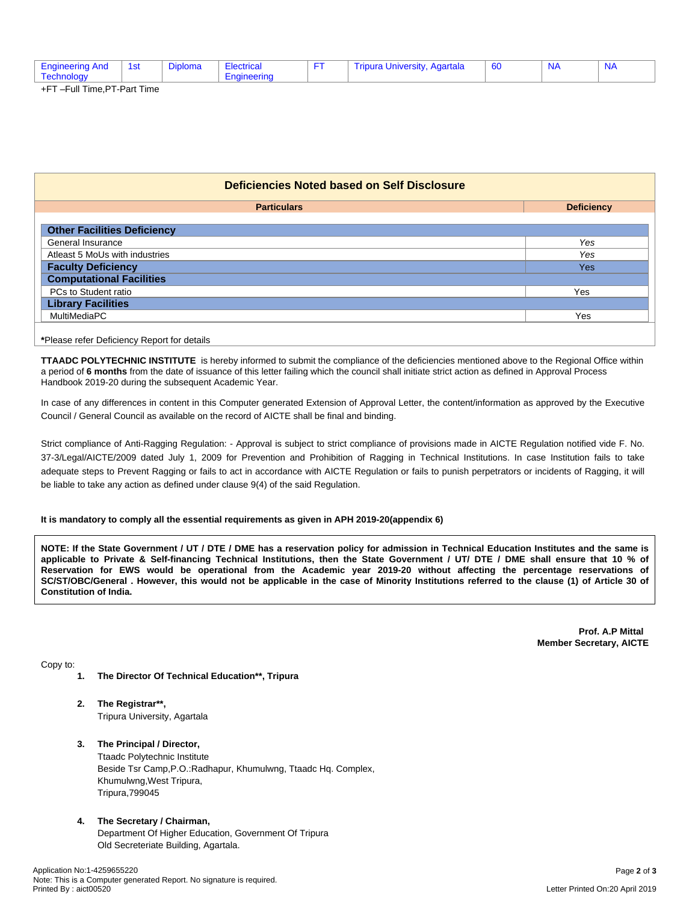| эı<br>. | NI A<br><b>vartala</b><br>Jiplor<br>anurs<br>-naineerind<br><b>MIVERS.</b><br>:tric<br>- OL |
|---------|---------------------------------------------------------------------------------------------|
|---------|---------------------------------------------------------------------------------------------|

+FT –Full Time,PT-Part Time

| <b>Deficiencies Noted based on Self Disclosure</b> |  |  |  |  |
|----------------------------------------------------|--|--|--|--|
| <b>Deficiency</b>                                  |  |  |  |  |
|                                                    |  |  |  |  |
| Yes                                                |  |  |  |  |
| Yes                                                |  |  |  |  |
| <b>Yes</b>                                         |  |  |  |  |
|                                                    |  |  |  |  |
| Yes                                                |  |  |  |  |
|                                                    |  |  |  |  |
| Yes                                                |  |  |  |  |
|                                                    |  |  |  |  |

**\***Please refer Deficiency Report for details

**TTAADC POLYTECHNIC INSTITUTE** is hereby informed to submit the compliance of the deficiencies mentioned above to the Regional Office within a period of **6 months** from the date of issuance of this letter failing which the council shall initiate strict action as defined in Approval Process Handbook 2019-20 during the subsequent Academic Year.

In case of any differences in content in this Computer generated Extension of Approval Letter, the content/information as approved by the Executive Council / General Council as available on the record of AICTE shall be final and binding.

Strict compliance of Anti-Ragging Regulation: - Approval is subject to strict compliance of provisions made in AICTE Regulation notified vide F. No. 37-3/Legal/AICTE/2009 dated July 1, 2009 for Prevention and Prohibition of Ragging in Technical Institutions. In case Institution fails to take adequate steps to Prevent Ragging or fails to act in accordance with AICTE Regulation or fails to punish perpetrators or incidents of Ragging, it will be liable to take any action as defined under clause 9(4) of the said Regulation.

### **It is mandatory to comply all the essential requirements as given in APH 2019-20(appendix 6)**

NOTE: If the State Government / UT / DTE / DME has a reservation policy for admission in Technical Education Institutes and the same is applicable to Private & Self-financing Technical Institutions, then the State Government / UT/ DTE / DME shall ensure that 10 % of Reservation for EWS would be operational from the Academic year 2019-20 without affecting the percentage reservations of SC/ST/OBC/General . However, this would not be applicable in the case of Minority Institutions referred to the clause (1) of Article 30 of **Constitution of India.**

> **Prof. A.P Mittal Member Secretary, AICTE**

Copy to:

- **1. The Director Of Technical Education\*\*, Tripura**
- **2. The Registrar\*\*,** Tripura University, Agartala
- **3. The Principal / Director,**

Ttaadc Polytechnic Institute Beside Tsr Camp,P.O.:Radhapur, Khumulwng, Ttaadc Hq. Complex, Khumulwng,West Tripura, Tripura,799045

**4. The Secretary / Chairman,**

Department Of Higher Education, Government Of Tripura Old Secreteriate Building, Agartala.